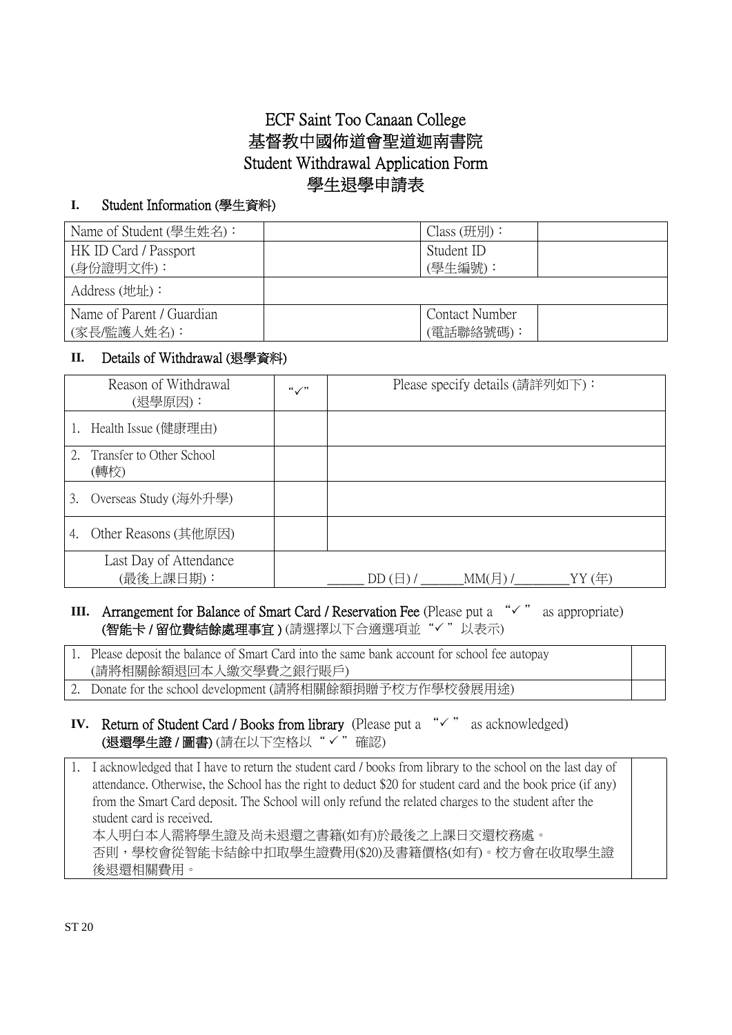# ECF Saint Too Canaan College 基督教中國佈道會聖道迦南書院 Student Withdrawal Application Form 學生退學申請表

#### **I.** Student Information (學生資料)

| Name of Student (學生姓名):   | $Class ( \n  H ) :$   |  |
|---------------------------|-----------------------|--|
| HK ID Card / Passport     | Student ID            |  |
| (身份證明文件):                 | (學生編號):               |  |
| Address (地址):             |                       |  |
| Name of Parent / Guardian | <b>Contact Number</b> |  |
| (家長/監護人姓名):               | (電話聯絡號碼):             |  |

#### **II.** Details of Withdrawal (退學資料)

| Reason of Withdrawal<br>(退學原因):     | $``\checkmark"$ | Please specify details (請詳列如下):                      |
|-------------------------------------|-----------------|------------------------------------------------------|
| 1. Health Issue (健康理由)              |                 |                                                      |
| 2. Transfer to Other School<br>(轉校) |                 |                                                      |
| Overseas Study (海外升學)<br>3.         |                 |                                                      |
| Other Reasons (其他原因)<br>4.          |                 |                                                      |
| Last Day of Attendance<br>(最後上課日期): |                 | $MM(\overline{\beta})/$<br>YY(年)<br>$DD(\boxplus)$ / |

### **III.** Arrangement for Balance of Smart Card / Reservation Fee (Please put a  $\forall$  " as appropriate) (智能卡/留位費結餘處理事宜)(請選擇以下合適選項並"√"以表示)

1. Please deposit the balance of Smart Card into the same bank account for school fee autopay (請將相關餘額退回本人繳交學費之銀行賬戶)

- 2. Donate for the school development (請將相關餘額捐贈予校方作學校發展用途)
- **IV.** Return of Student Card / Books from library (Please put a  $\sqrt{x}$  as acknowledged) (退還學生證/圖書)(請在以下空格以"√"確認)

1. I acknowledged that I have to return the student card / books from library to the school on the last day of attendance. Otherwise, the School has the right to deduct \$20 for student card and the book price (if any) from the Smart Card deposit. The School will only refund the related charges to the student after the student card is received. 本人明白本人需將學生證及尚未退還之書籍(如有)於最後之上課日交還校務處。 否則,學校會從智能卡結餘中扣取學生證費用(\$20)及書籍價格(如有)。校方會在收取學生證 後退還相關費用。